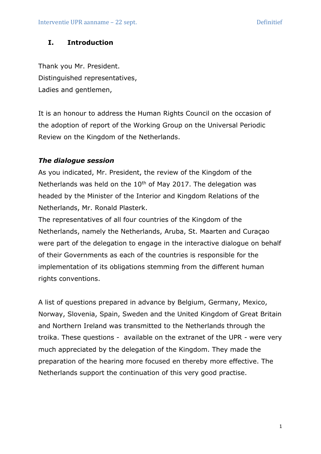# **I. Introduction**

Thank you Mr. President. Distinguished representatives, Ladies and gentlemen,

It is an honour to address the Human Rights Council on the occasion of the adoption of report of the Working Group on the Universal Periodic Review on the Kingdom of the Netherlands.

## *The dialogue session*

As you indicated, Mr. President, the review of the Kingdom of the Netherlands was held on the  $10<sup>th</sup>$  of May 2017. The delegation was headed by the Minister of the Interior and Kingdom Relations of the Netherlands, Mr. Ronald Plasterk.

The representatives of all four countries of the Kingdom of the Netherlands, namely the Netherlands, Aruba, St. Maarten and Curaçao were part of the delegation to engage in the interactive dialogue on behalf of their Governments as each of the countries is responsible for the implementation of its obligations stemming from the different human rights conventions.

A list of questions prepared in advance by Belgium, Germany, Mexico, Norway, Slovenia, Spain, Sweden and the United Kingdom of Great Britain and Northern Ireland was transmitted to the Netherlands through the troika. These questions - available on the extranet of the UPR - were very much appreciated by the delegation of the Kingdom. They made the preparation of the hearing more focused en thereby more effective. The Netherlands support the continuation of this very good practise.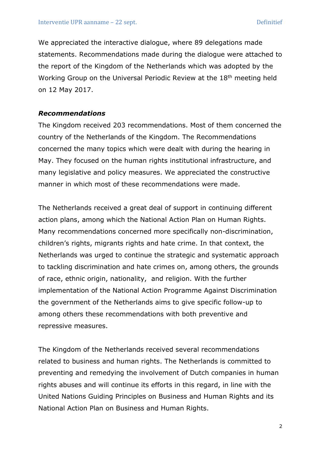We appreciated the interactive dialogue, where 89 delegations made statements. Recommendations made during the dialogue were attached to the report of the Kingdom of the Netherlands which was adopted by the Working Group on the Universal Periodic Review at the 18th meeting held on 12 May 2017.

### *Recommendations*

The Kingdom received 203 recommendations. Most of them concerned the country of the Netherlands of the Kingdom. The Recommendations concerned the many topics which were dealt with during the hearing in May. They focused on the human rights institutional infrastructure, and many legislative and policy measures. We appreciated the constructive manner in which most of these recommendations were made.

The Netherlands received a great deal of support in continuing different action plans, among which the National Action Plan on Human Rights. Many recommendations concerned more specifically non-discrimination, children's rights, migrants rights and hate crime. In that context, the Netherlands was urged to continue the strategic and systematic approach to tackling discrimination and hate crimes on, among others, the grounds of race, ethnic origin, nationality, and religion. With the further implementation of the National Action Programme Against Discrimination the government of the Netherlands aims to give specific follow-up to among others these recommendations with both preventive and repressive measures.

The Kingdom of the Netherlands received several recommendations related to business and human rights. The Netherlands is committed to preventing and remedying the involvement of Dutch companies in human rights abuses and will continue its efforts in this regard, in line with the United Nations Guiding Principles on Business and Human Rights and its National Action Plan on Business and Human Rights.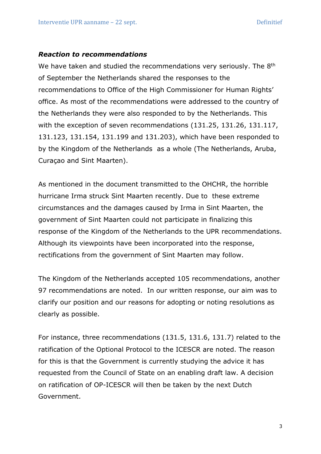#### *Reaction to recommendations*

We have taken and studied the recommendations very seriously. The 8<sup>th</sup> of September the Netherlands shared the responses to the recommendations to Office of the High Commissioner for Human Rights' office. As most of the recommendations were addressed to the country of the Netherlands they were also responded to by the Netherlands. This with the exception of seven recommendations (131.25, 131.26, 131.117, 131.123, 131.154, 131.199 and 131.203), which have been responded to by the Kingdom of the Netherlands as a whole (The Netherlands, Aruba, Curaçao and Sint Maarten).

As mentioned in the document transmitted to the OHCHR, the horrible hurricane Irma struck Sint Maarten recently. Due to these extreme circumstances and the damages caused by Irma in Sint Maarten, the government of Sint Maarten could not participate in finalizing this response of the Kingdom of the Netherlands to the UPR recommendations. Although its viewpoints have been incorporated into the response, rectifications from the government of Sint Maarten may follow.

The Kingdom of the Netherlands accepted 105 recommendations, another 97 recommendations are noted. In our written response, our aim was to clarify our position and our reasons for adopting or noting resolutions as clearly as possible.

For instance, three recommendations (131.5, 131.6, 131.7) related to the ratification of the Optional Protocol to the ICESCR are noted. The reason for this is that the Government is currently studying the advice it has requested from the Council of State on an enabling draft law. A decision on ratification of OP-ICESCR will then be taken by the next Dutch Government.